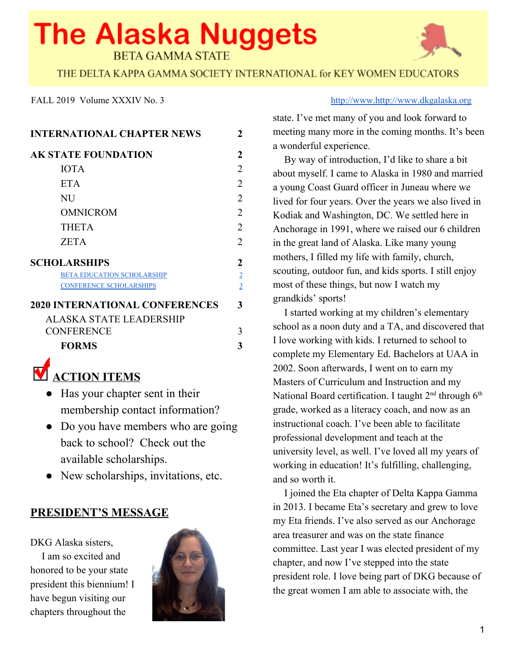# **The Alaska Nuggets BETA GAMMA STATE**



THE DELTA KAPPA GAMMA SOCIETY INTERNATIONAL for KEY WOMEN EDUCATORS

| <b>INTERNATIONAL CHAPTER NEWS</b>     |                             |
|---------------------------------------|-----------------------------|
| <b>AK STATE FOUNDATION</b>            | 2                           |
| <b>IOTA</b>                           | 2                           |
| <b>ETA</b>                            | 2                           |
| <b>NU</b>                             | $\mathcal{D}_{\mathcal{L}}$ |
| <b>OMNICROM</b>                       | 2                           |
| <b>THETA</b>                          | $\overline{2}$              |
| <b>ZETA</b>                           | $\mathfrak{D}$              |
| <b>SCHOLARSHIPS</b>                   | 2                           |
| <b>BETA EDUCATION SCHOLARSHIP</b>     | $\overline{2}$              |
| <b>CONFERENCE SCHOLARSHIPS</b>        | $\overline{3}$              |
| <b>2020 INTERNATIONAL CONFERENCES</b> | 3                           |
| <b>ALASKA STATE LEADERSHIP</b>        |                             |
| <b>CONFERENCE</b>                     | 3                           |
| <b>FORMS</b>                          | 3                           |
| $\overline{ }$                        |                             |

# **ACTION ITEMS**

- Has your chapter sent in their membership contact information?
- Do you have members who are going back to school? Check out the available scholarships.
- New scholarships, invitations, etc.

### **PRESIDENT'S MESSAGE**

DKG Alaska sisters,

I am so excited and honored to be your state president this biennium! I have begun visiting our chapters throughout the



#### FALL 2019 Volume XXXIV No. 3 http://www.[http://www.http://www.dkgalaska.org](http://www.dkgalaska.org/)

state. I've met many of you and look forward to meeting many more in the coming months. It's been a wonderful experience.

By way of introduction, I'd like to share a bit about myself. I came to Alaska in 1980 and married a young Coast Guard officer in Juneau where we lived for four years. Over the years we also lived in Kodiak and Washington, DC. We settled here in Anchorage in 1991, where we raised our 6 children in the great land of Alaska. Like many young mothers, I filled my life with family, church, scouting, outdoor fun, and kids sports. I still enjoy most of these things, but now I watch my grandkids' sports!

I started working at my children's elementary school as a noon duty and a TA, and discovered that I love working with kids. I returned to school to complete my Elementary Ed. Bachelors at UAA in 2002. Soon afterwards, I went on to earn my Masters of Curriculum and Instruction and my National Board certification. I taught 2<sup>nd</sup> through 6<sup>th</sup> grade, worked as a literacy coach, and now as an instructional coach. I've been able to facilitate professional development and teach at the university level, as well. I've loved all my years of working in education! It's fulfilling, challenging, and so worth it.

I joined the Eta chapter of Delta Kappa Gamma in 2013. I became Eta's secretary and grew to love my Eta friends. I've also served as our Anchorage area treasurer and was on the state finance committee. Last year I was elected president of my chapter, and now I've stepped into the state president role. I love being part of DKG because of the great women I am able to associate with, the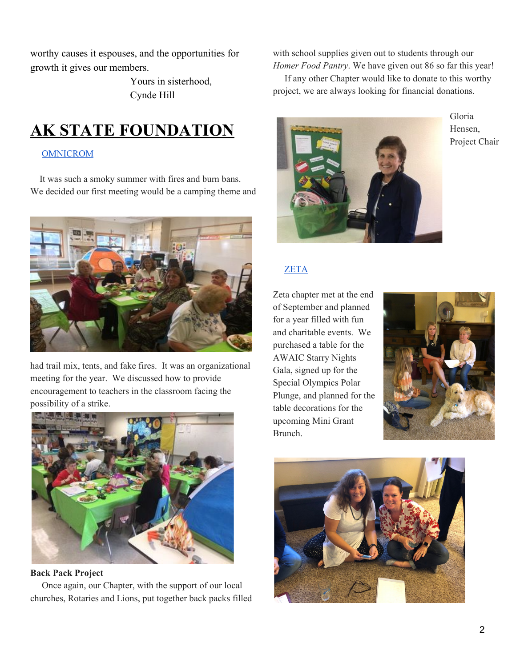worthy causes it espouses, and the opportunities for growth it gives our members.

> Yours in sisterhood, Cynde Hill

## <span id="page-1-0"></span>**AK STATE FOUNDATION**

### <span id="page-1-1"></span>OMNICROM

It was such a smoky summer with fires and burn bans. We decided our first meeting would be a camping theme and



had trail mix, tents, and fake fires. It was an organizational meeting for the year. We discussed how to provide encouragement to teachers in the classroom facing the possibility of a strike.



#### **Back Pack Project**

Once again, our Chapter, with the support of our local churches, Rotaries and Lions, put together back packs filled with school supplies given out to students through our *Homer Food Pantry*. We have given out 86 so far this year!

If any other Chapter would like to donate to this worthy project, we are always looking for financial donations.



Gloria Hensen, Project Chair

### <span id="page-1-2"></span>ZETA

Zeta chapter met at the end of September and planned for a year filled with fun and charitable events. We purchased a table for the AWAIC Starry Nights Gala, signed up for the Special Olympics Polar Plunge, and planned for the table decorations for the upcoming Mini Grant Brunch.



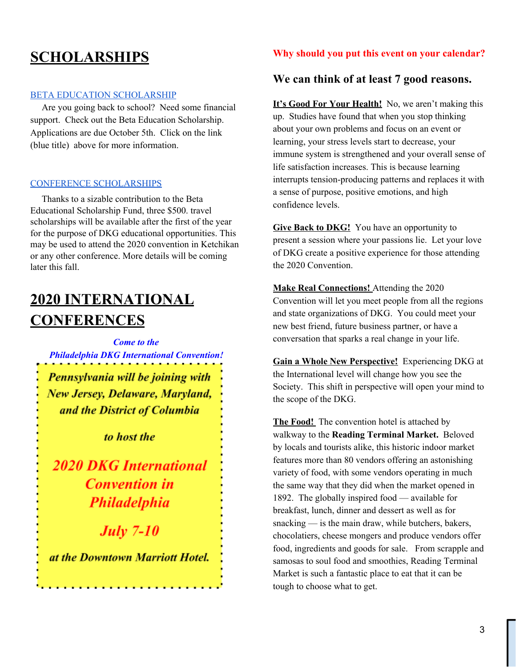### **SCHOLARSHIPS**

#### BETA EDUCATION [SCHOLARSHIP](https://www.dkgalaska.org/scholarshipsgrants-in-aid.html)

Are you going back to school? Need some financial support. Check out the Beta Education Scholarship. Applications are due October 5th. Click on the link (blue title) above for more information.

#### <span id="page-2-0"></span>CONFERENCE SCHOLARSHIPS

Thanks to a sizable contribution to the Beta Educational Scholarship Fund, three \$500. travel scholarships will be available after the first of the year for the purpose of DKG educational opportunities. This may be used to attend the 2020 convention in Ketchikan or any other conference. More details will be coming later this fall.

### **2020 INTERNATIONAL CONFERENCES**

*Come to the Philadelphia DKG International Convention!*

Pennsylvania will be joining with New Jersey, Delaware, Maryland, and the District of Columbia

to host the

**2020 DKG International Convention** in **Philadelphia** 

**July 7-10** 

at the Downtown Marriott Hotel.

. . . . . . . . . . . . . . . . . . . .

### **Why should you put this event on your calendar?**

### **We can think of at least 7 good reasons.**

**It's Good For Your Health!** No, we aren't making this up. Studies have found that when you stop thinking about your own problems and focus on an event or learning, your stress levels start to decrease, your immune system is strengthened and your overall sense of life satisfaction increases. This is because learning interrupts tension-producing patterns and replaces it with a sense of purpose, positive emotions, and high confidence levels.

**Give Back to DKG!** You have an opportunity to present a session where your passions lie. Let your love of DKG create a positive experience for those attending the 2020 Convention.

**Make Real Connections!** Attending the 2020 Convention will let you meet people from all the regions and state organizations of DKG. You could meet your new best friend, future business partner, or have a conversation that sparks a real change in your life.

**Gain a Whole New Perspective!** Experiencing DKG at the International level will change how you see the Society. This shift in perspective will open your mind to the scope of the DKG.

**The Food!** The convention hotel is attached by walkway to the **Reading Terminal Market.** Beloved by locals and tourists alike, this historic indoor market features more than 80 vendors offering an astonishing variety of food, with some vendors operating in much the same way that they did when the market opened in 1892. The globally inspired food — available for breakfast, lunch, dinner and dessert as well as for snacking — is the main draw, while butchers, bakers, chocolatiers, cheese mongers and produce vendors offer food, ingredients and goods for sale. From scrapple and samosas to soul food and smoothies, Reading Terminal Market is such a fantastic place to eat that it can be tough to choose what to get.